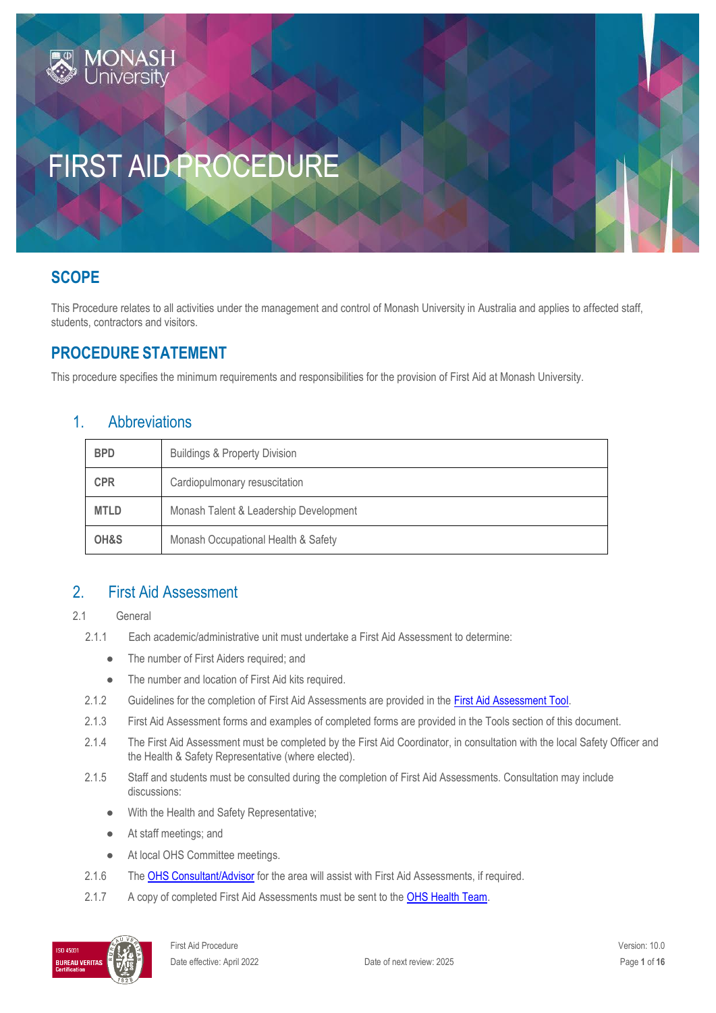# **SCOPE**

This Procedure relates to all activities under the management and control of Monash University in Australia and applies to affected staff, students, contractors and visitors.

# **PROCEDURE STATEMENT**

This procedure specifies the minimum requirements and responsibilities for the provision of First Aid at Monash University.

## 1. Abbreviations

| <b>BPD</b>  | <b>Buildings &amp; Property Division</b> |  |
|-------------|------------------------------------------|--|
| <b>CPR</b>  | Cardiopulmonary resuscitation            |  |
| <b>MTLD</b> | Monash Talent & Leadership Development   |  |
| OH&S        | Monash Occupational Health & Safety      |  |

## 2. First Aid Assessment

- 2.1 General
	- 2.1.1 Each academic/administrative unit must undertake a First Aid Assessment to determine:
		- The number of First Aiders required; and
		- The number and location of First Aid kits required.
	- 2.1.2 Guidelines for the completion of First Aid Assessments are provided in th[e First Aid Assessment Tool.](http://www.monash.edu/__data/assets/pdf_file/0006/113775/firstaid-assess-tool.pdf)
	- 2.1.3 First Aid Assessment forms and examples of completed forms are provided in the Tools section of this document.
	- 2.1.4 The First Aid Assessment must be completed by the First Aid Coordinator, in consultation with the local Safety Officer and the Health & Safety Representative (where elected).
	- 2.1.5 Staff and students must be consulted during the completion of First Aid Assessments. Consultation may include discussions:
		- With the Health and Safety Representative;
		- At staff meetings; and
		- At local OHS Committee meetings.
	- 2.1.6 The [OHS Consultant/Advisor](http://www.monash.edu.au/ohs/AboutUs) for the area will assist with First Aid Assessments, if required.
	- 2.1.7 A copy of completed First Aid Assessments must be sent to the [OHS Health Team.](https://www.monash.edu/ohs/AboutUs)

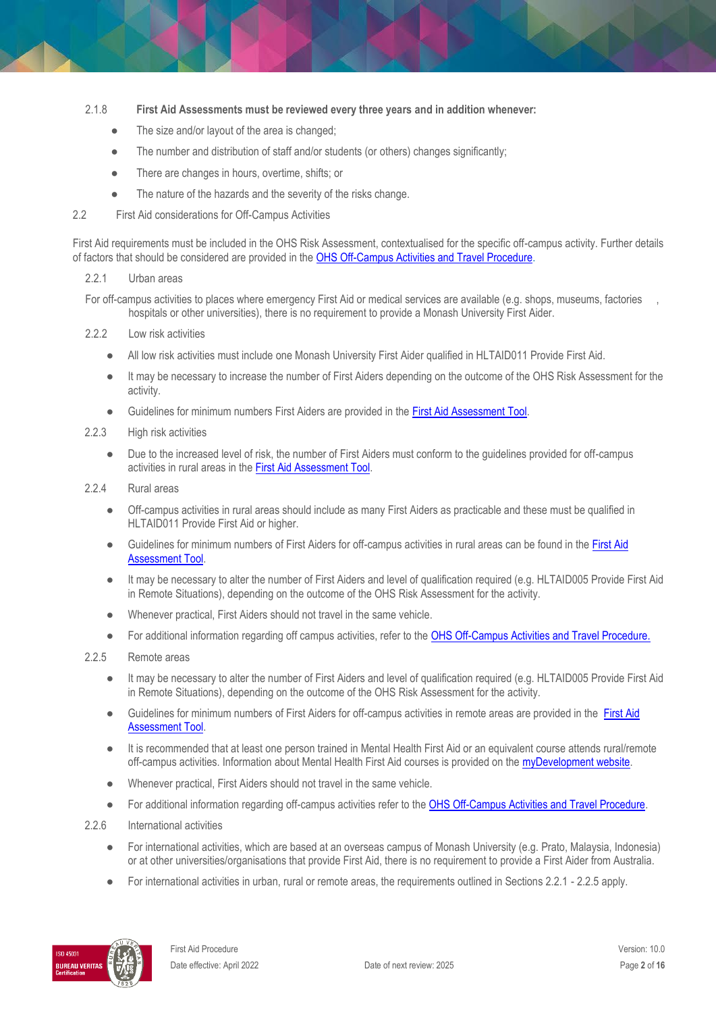#### 2.1.8 **First Aid Assessments must be reviewed every three years and in addition whenever:**

- The size and/or layout of the area is changed;
- The number and distribution of staff and/or students (or others) changes significantly;
- There are changes in hours, overtime, shifts; or
- The nature of the hazards and the severity of the risks change.
- 2.2 First Aid considerations for Off-Campus Activities

First Aid requirements must be included in the OHS Risk Assessment, contextualised for the specific off-campus activity. Further details of factors that should be considered are provided in the [OHS Off-Campus Activities and Travel Procedure.](https://publicpolicydms.monash.edu/Monash/documents/1935633)

#### 2.2.1 Urban areas

For off-campus activities to places where emergency First Aid or medical services are available (e.g. shops, museums, factories , hospitals or other universities), there is no requirement to provide a Monash University First Aider.

- 2.2.2 Low risk activities
	- All low risk activities must include one Monash University First Aider qualified in HLTAID011 Provide First Aid.
	- It may be necessary to increase the number of First Aiders depending on the outcome of the OHS Risk Assessment for the activity.
	- Guidelines for minimum numbers First Aiders are provided in the [First Aid Assessment Tool.](http://www.monash.edu/__data/assets/pdf_file/0006/113775/firstaid-assess-tool.pdf)
- 2.2.3 High risk activities
	- Due to the increased level of risk, the number of First Aiders must conform to the guidelines provided for off-campus activities in rural areas in th[e First Aid Assessment Tool.](http://www.monash.edu/__data/assets/pdf_file/0006/113775/firstaid-assess-tool.pdf)
- 2.2.4 Rural areas
	- Off-campus activities in rural areas should include as many First Aiders as practicable and these must be qualified in HLTAID011 Provide First Aid or higher.
	- Guidelines for minimum numbers of First Aiders for off-campus activities in rural areas can be found in the First Aid [Assessment Tool.](http://www.monash.edu/__data/assets/pdf_file/0006/113775/firstaid-assess-tool.pdf)
	- It may be necessary to alter the number of First Aiders and level of qualification required (e.g. HLTAID005 Provide First Aid in Remote Situations), depending on the outcome of the OHS Risk Assessment for the activity.
	- Whenever practical, First Aiders should not travel in the same vehicle.
	- For additional information regarding off campus activities, refer to th[e OHS Off-Campus Activities and Travel Procedure.](https://publicpolicydms.monash.edu/Monash/documents/1935633)
- 2.2.5 Remote areas
	- It may be necessary to alter the number of First Aiders and level of qualification required (e.g. HLTAID005 Provide First Aid in Remote Situations), depending on the outcome of the OHS Risk Assessment for the activity.
	- Guidelines for minimum numbers of First Aiders for off-campus activities in remote areas are provided in the [First Aid](http://www.monash.edu/__data/assets/pdf_file/0006/113775/firstaid-assess-tool.pdf)  **[Assessment Tool.](http://www.monash.edu/__data/assets/pdf_file/0006/113775/firstaid-assess-tool.pdf)**
	- It is recommended that at least one person trained in Mental Health First Aid or an equivalent course attends rural/remote off-campus activities. Information about Mental Health First Aid courses is provided on th[e myDevelopment website.](https://monash.csod.com/ui/lms-learning-details/app/event/38f3186b-ba9b-4aa4-a716-f720843271e2)
	- Whenever practical, First Aiders should not travel in the same vehicle.
	- For additional information regarding off-campus activities refer to th[e OHS Off-Campus Activities and Travel Procedure.](https://publicpolicydms.monash.edu/Monash/documents/1935633)
- 2.2.6 International activities
	- For international activities, which are based at an overseas campus of Monash University (e.g. Prato, Malaysia, Indonesia) or at other universities/organisations that provide First Aid, there is no requirement to provide a First Aider from Australia.
	- For international activities in urban, rural or remote areas, the requirements outlined in Sections 2.2.1 2.2.5 apply.

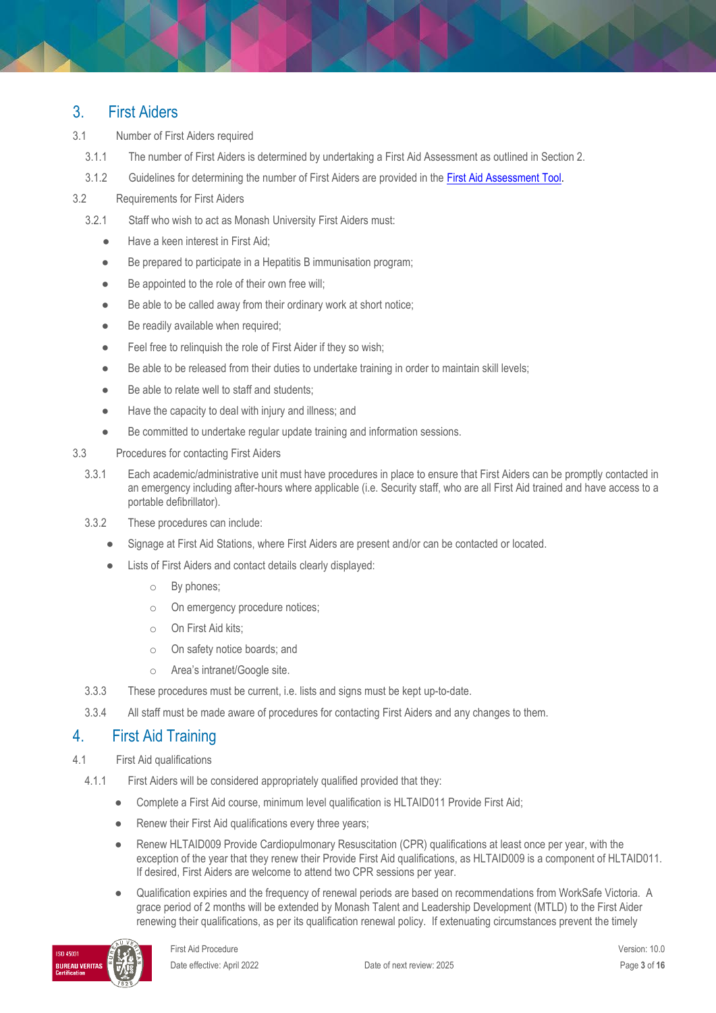## 3. First Aiders

- 3.1 Number of First Aiders required
	- 3.1.1 The number of First Aiders is determined by undertaking a First Aid Assessment as outlined in Section 2.
	- 3.1.2 Guidelines for determining the number of First Aiders are provided in the [First Aid Assessment Tool.](http://www.monash.edu/__data/assets/pdf_file/0006/113775/firstaid-assess-tool.pdf)
- 3.2 Requirements for First Aiders
	- 3.2.1 Staff who wish to act as Monash University First Aiders must:
		- Have a keen interest in First Aid;
		- Be prepared to participate in a Hepatitis B immunisation program;
		- Be appointed to the role of their own free will;
		- Be able to be called away from their ordinary work at short notice;
		- Be readily available when required;
		- Feel free to relinquish the role of First Aider if they so wish;
		- Be able to be released from their duties to undertake training in order to maintain skill levels;
		- Be able to relate well to staff and students;
		- Have the capacity to deal with injury and illness; and
		- Be committed to undertake regular update training and information sessions.
- 3.3 Procedures for contacting First Aiders
	- 3.3.1 Each academic/administrative unit must have procedures in place to ensure that First Aiders can be promptly contacted in an emergency including after-hours where applicable (i.e. Security staff, who are all First Aid trained and have access to a portable defibrillator).
	- 3.3.2 These procedures can include:
		- Signage at First Aid Stations, where First Aiders are present and/or can be contacted or located.
		- Lists of First Aiders and contact details clearly displayed:
			- o By phones;
			- o On emergency procedure notices;
			- o On First Aid kits;
			- o On safety notice boards; and
			- o Area's intranet/Google site.
	- 3.3.3 These procedures must be current, i.e. lists and signs must be kept up-to-date.
- 3.3.4 All staff must be made aware of procedures for contacting First Aiders and any changes to them.

# 4. First Aid Training

- 4.1 First Aid qualifications
	- 4.1.1 First Aiders will be considered appropriately qualified provided that they:
		- Complete a First Aid course, minimum level qualification is HLTAID011 Provide First Aid;
		- Renew their First Aid qualifications every three years;
		- Renew HLTAID009 Provide Cardiopulmonary Resuscitation (CPR) qualifications at least once per year, with the exception of the year that they renew their Provide First Aid qualifications, as HLTAID009 is a component of HLTAID011. If desired, First Aiders are welcome to attend two CPR sessions per year.
		- Qualification expiries and the frequency of renewal periods are based on recommendations from WorkSafe Victoria. A grace period of 2 months will be extended by Monash Talent and Leadership Development (MTLD) to the First Aider renewing their qualifications, as per its qualification renewal policy. If extenuating circumstances prevent the timely

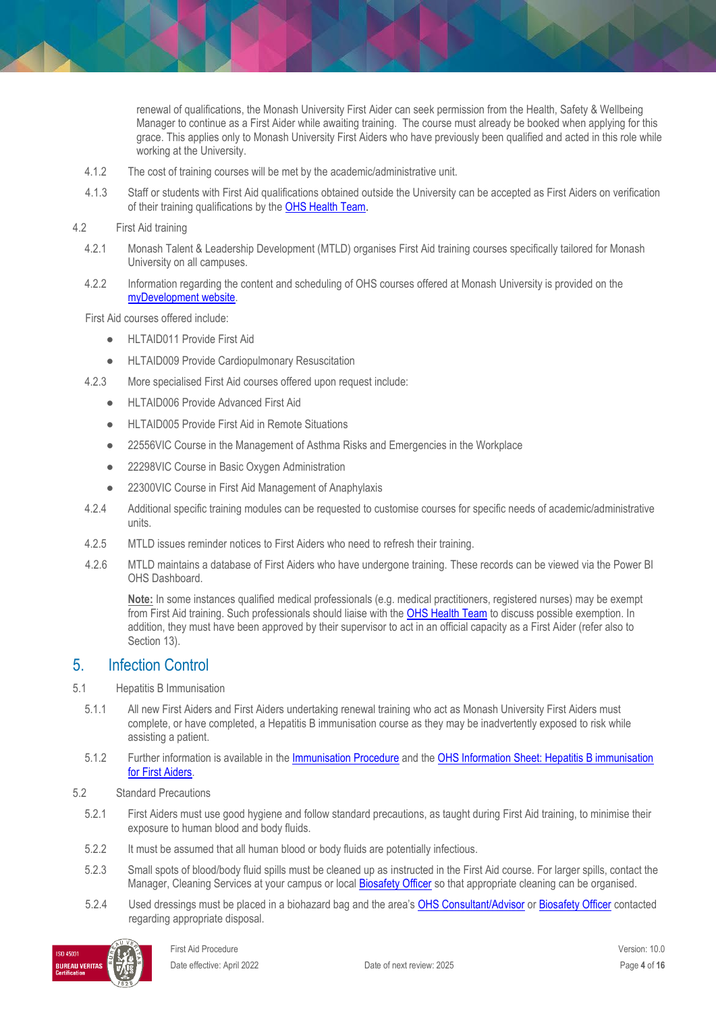renewal of qualifications, the Monash University First Aider can seek permission from the Health, Safety & Wellbeing Manager to continue as a First Aider while awaiting training. The course must already be booked when applying for this grace. This applies only to Monash University First Aiders who have previously been qualified and acted in this role while working at the University.

- 4.1.2 The cost of training courses will be met by the academic/administrative unit.
- 4.1.3 Staff or students with First Aid qualifications obtained outside the University can be accepted as First Aiders on verification of their training qualifications by the **OHS Health Team**.

#### 4.2 First Aid training

- 4.2.1 Monash Talent & Leadership Development (MTLD) organises First Aid training courses specifically tailored for Monash University on all campuses.
- 4.2.2 Information regarding the content and scheduling of OHS courses offered at Monash University is provided on the [myDevelopment website.](https://monash.csod.com/LMS/BrowseTraining/BrowseTraining.aspx#f=1&s=566,568&o=1&h=2)

First Aid courses offered include:

- HLTAID011 Provide First Aid
- HLTAID009 Provide Cardiopulmonary Resuscitation
- 4.2.3 More specialised First Aid courses offered upon request include:
	- HLTAID006 Provide Advanced First Aid
	- HLTAID005 Provide First Aid in Remote Situations
	- 22556VIC Course in the Management of Asthma Risks and Emergencies in the Workplace
	- 22298VIC Course in Basic Oxygen Administration
	- 22300VIC Course in First Aid Management of Anaphylaxis
- 4.2.4 Additional specific training modules can be requested to customise courses for specific needs of academic/administrative units.
- 4.2.5 MTLD issues reminder notices to First Aiders who need to refresh their training.
- 4.2.6 MTLD maintains a database of First Aiders who have undergone training. These records can be viewed via the Power BI OHS Dashboard.

**Note:** In some instances qualified medical professionals (e.g. medical practitioners, registered nurses) may be exempt from First Aid training. Such professionals should liaise with the **OHS Health Team** to discuss possible exemption. In addition, they must have been approved by their supervisor to act in an official capacity as a First Aider (refer also to Section 13).

## 5. Infection Control

- 5.1 Hepatitis B Immunisation
	- 5.1.1 All new First Aiders and First Aiders undertaking renewal training who act as Monash University First Aiders must complete, or have completed, a Hepatitis B immunisation course as they may be inadvertently exposed to risk while assisting a patient.
	- 5.1.2 Further information is available in the [Immunisation Procedure](https://publicpolicydms.monash.edu/Monash/documents/1935616) and the [OHS Information Sheet: Hepatitis B immunisation](https://www.monash.edu/ohs/info-docs/safety-topics/first-aid/hepatitis-b-immunisation-for-first-aiders)  [for First Aiders.](https://www.monash.edu/ohs/info-docs/safety-topics/first-aid/hepatitis-b-immunisation-for-first-aiders)
- 5.2 Standard Precautions
	- 5.2.1 First Aiders must use good hygiene and follow standard precautions, as taught during First Aid training, to minimise their exposure to human blood and body fluids.
	- 5.2.2 It must be assumed that all human blood or body fluids are potentially infectious.
	- 5.2.3 Small spots of blood/body fluid spills must be cleaned up as instructed in the First Aid course. For larger spills, contact the Manager, Cleaning Services at your campus or loca[l Biosafety Officer](https://www.monash.edu/ohs/OHS-structure-responsibilities/OHS-responsibilities/biosafety) so that appropriate cleaning can be organised.
	- 5.2.4 Used dressings must be placed in a biohazard bag and the area's [OHS Consultant/Advisor](http://www.monash.edu.au/ohs/AboutUs) o[r Biosafety Officer](https://www.monash.edu/ohs/OHS-structure-responsibilities/OHS-responsibilities/biosafety) contacted regarding appropriate disposal.

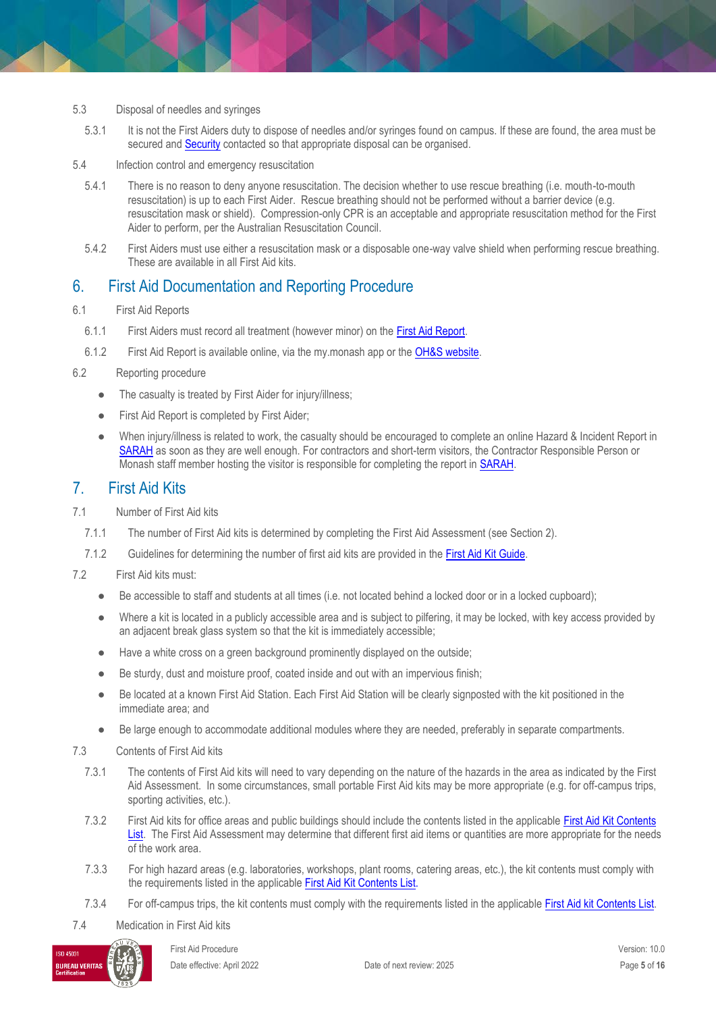- 5.3 Disposal of needles and syringes
	- 5.3.1 It is not the First Aiders duty to dispose of needles and/or syringes found on campus. If these are found, the area must be secured and [Security](http://www.monash.edu/about/who/safety-security/offices/index.html) contacted so that appropriate disposal can be organised.
- 5.4 Infection control and emergency resuscitation
	- 5.4.1 There is no reason to deny anyone resuscitation. The decision whether to use rescue breathing (i.e. mouth-to-mouth resuscitation) is up to each First Aider. Rescue breathing should not be performed without a barrier device (e.g. resuscitation mask or shield). Compression-only CPR is an acceptable and appropriate resuscitation method for the First Aider to perform, per the Australian Resuscitation Council.
	- 5.4.2 First Aiders must use either a resuscitation mask or a disposable one-way valve shield when performing rescue breathing. These are available in all First Aid kits.

## 6. First Aid Documentation and Reporting Procedure

- 6.1 First Aid Reports
	- 6.1.1 First Aiders must record all treatment (however minor) on th[e First Aid Report.](https://www.monash.edu/__data/assets/pdf_file/0004/188644/First-Aid-Report-Form.pdf)
	- 6.1.2 First Aid Report is available online, via the my.monash app or the [OH&S website.](https://www.monash.edu/__data/assets/pdf_file/0004/188644/First-Aid-Report-Form.pdf)
- 6.2 Reporting procedure
	- The casualty is treated by First Aider for injury/illness;
	- First Aid Report is completed by First Aider;
	- When injury/illness is related to work, the casualty should be encouraged to complete an online Hazard & Incident Report in [SARAH](https://prod.riskcloud.net/default.aspx) as soon as they are well enough. For contractors and short-term visitors, the Contractor Responsible Person or Monash staff member hosting the visitor is responsible for completing the report in [SARAH.](https://prod.riskcloud.net/default.aspx)

## 7. First Aid Kits

- 7.1 Number of First Aid kits
	- 7.1.1 The number of First Aid kits is determined by completing the First Aid Assessment (see Section 2).
	- 7.1.2 Guidelines for determining the number of first aid kits are provided in th[e First Aid Kit Guide.](http://www.monash.edu/__data/assets/pdf_file/0008/113777/firstaid-kit-guide.pdf)
- 7.2 First Aid kits must:
	- Be accessible to staff and students at all times (i.e. not located behind a locked door or in a locked cupboard);
	- Where a kit is located in a publicly accessible area and is subject to pilfering, it may be locked, with key access provided by an adjacent break glass system so that the kit is immediately accessible;
	- Have a white cross on a green background prominently displayed on the outside;
	- Be sturdy, dust and moisture proof, coated inside and out with an impervious finish;
	- Be located at a known First Aid Station. Each First Aid Station will be clearly signposted with the kit positioned in the immediate area; and
	- Be large enough to accommodate additional modules where they are needed, preferably in separate compartments.
- 7.3 Contents of First Aid kits
	- 7.3.1 The contents of First Aid kits will need to vary depending on the nature of the hazards in the area as indicated by the First Aid Assessment. In some circumstances, small portable First Aid kits may be more appropriate (e.g. for off-campus trips, sporting activities, etc.).
	- 7.3.2 First Aid kits for office areas and public buildings should include the contents listed in the applicable [First Aid Kit Contents](http://www.monash.edu/__data/assets/pdf_file/0007/113776/firstaid-kit-contents.pdf)  [List.](http://www.monash.edu/__data/assets/pdf_file/0007/113776/firstaid-kit-contents.pdf) The First Aid Assessment may determine that different first aid items or quantities are more appropriate for the needs of the work area.
	- 7.3.3 For high hazard areas (e.g. laboratories, workshops, plant rooms, catering areas, etc.), the kit contents must comply with the requirements listed in the applicabl[e First Aid Kit Contents List.](http://www.monash.edu/__data/assets/pdf_file/0007/113776/firstaid-kit-contents.pdf)
	- 7.3.4 For off-campus trips, the kit contents must comply with the requirements listed in the applicable [First Aid kit Contents List.](http://www.monash.edu/__data/assets/pdf_file/0007/113776/firstaid-kit-contents.pdf)
- 7.4 Medication in First Aid kits

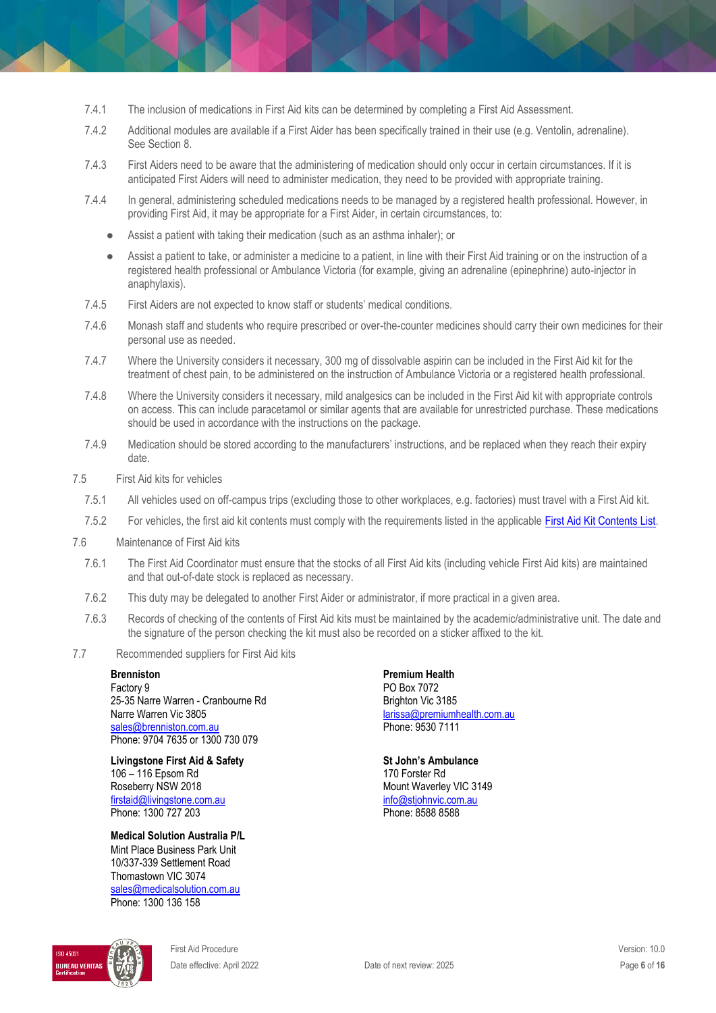- 7.4.1 The inclusion of medications in First Aid kits can be determined by completing a First Aid Assessment.
- 7.4.2 Additional modules are available if a First Aider has been specifically trained in their use (e.g. Ventolin, adrenaline). See Section 8.
- 7.4.3 First Aiders need to be aware that the administering of medication should only occur in certain circumstances. If it is anticipated First Aiders will need to administer medication, they need to be provided with appropriate training.
- 7.4.4 In general, administering scheduled medications needs to be managed by a registered health professional. However, in providing First Aid, it may be appropriate for a First Aider, in certain circumstances, to:
	- Assist a patient with taking their medication (such as an asthma inhaler); or
	- Assist a patient to take, or administer a medicine to a patient, in line with their First Aid training or on the instruction of a registered health professional or Ambulance Victoria (for example, giving an adrenaline (epinephrine) auto-injector in anaphylaxis).
- 7.4.5 First Aiders are not expected to know staff or students' medical conditions.
- 7.4.6 Monash staff and students who require prescribed or over-the-counter medicines should carry their own medicines for their personal use as needed.
- 7.4.7 Where the University considers it necessary, 300 mg of dissolvable aspirin can be included in the First Aid kit for the treatment of chest pain, to be administered on the instruction of Ambulance Victoria or a registered health professional.
- 7.4.8 Where the University considers it necessary, mild analgesics can be included in the First Aid kit with appropriate controls on access. This can include paracetamol or similar agents that are available for unrestricted purchase. These medications should be used in accordance with the instructions on the package.
- 7.4.9 Medication should be stored according to the manufacturers' instructions, and be replaced when they reach their expiry date.
- 7.5 First Aid kits for vehicles
	- 7.5.1 All vehicles used on off-campus trips (excluding those to other workplaces, e.g. factories) must travel with a First Aid kit.
	- 7.5.2 For vehicles, the first aid kit contents must comply with the requirements listed in the applicable [First Aid Kit Contents List.](http://www.monash.edu/__data/assets/pdf_file/0007/113776/firstaid-kit-contents.pdf)
- 7.6 Maintenance of First Aid kits
	- 7.6.1 The First Aid Coordinator must ensure that the stocks of all First Aid kits (including vehicle First Aid kits) are maintained and that out-of-date stock is replaced as necessary.
	- 7.6.2 This duty may be delegated to another First Aider or administrator, if more practical in a given area.
	- 7.6.3 Records of checking of the contents of First Aid kits must be maintained by the academic/administrative unit. The date and the signature of the person checking the kit must also be recorded on a sticker affixed to the kit.
- 7.7 Recommended suppliers for First Aid kits

#### **Brenniston**

Factory 9 25-35 Narre Warren - Cranbourne Rd Narre Warren Vic 3805 [sales@brenniston.com.au](mailto:sales@brenniston.com.au)  Phone: 9704 7635 or 1300 730 079

**Livingstone First Aid & Safety** 106 – 116 Epsom Rd Roseberry NSW 2018 [firstaid@livingstone.com.au](mailto:firstaid@livingstone.com.au) Phone: 1300 727 203

**Medical Solution Australia P/L** Mint Place Business Park Unit 10/337-339 Settlement Road Thomastown VIC 3074 [sales@medical](mailto:sales@medica)[solution.com.au](about:blank) Phone: 1300 136 158

**BUREAU VERITA** 

First Aid Procedure Version: 10.0 Date effective: April 2022 Date of next review: 2025 Page **6** of **16**

**Premium Health** PO Box 7072 Brighton Vic 3185 [larissa@premiumhealth.com.au](mailto:larissa@premiumhealth.com.au) Phone: 9530 7111

**St John's Ambulance** 170 Forster Rd Mount Waverley VIC 3149 [info@stjohnvic.com.au](mailto:info@stjohnvic.com.au) Phone: 8588 8588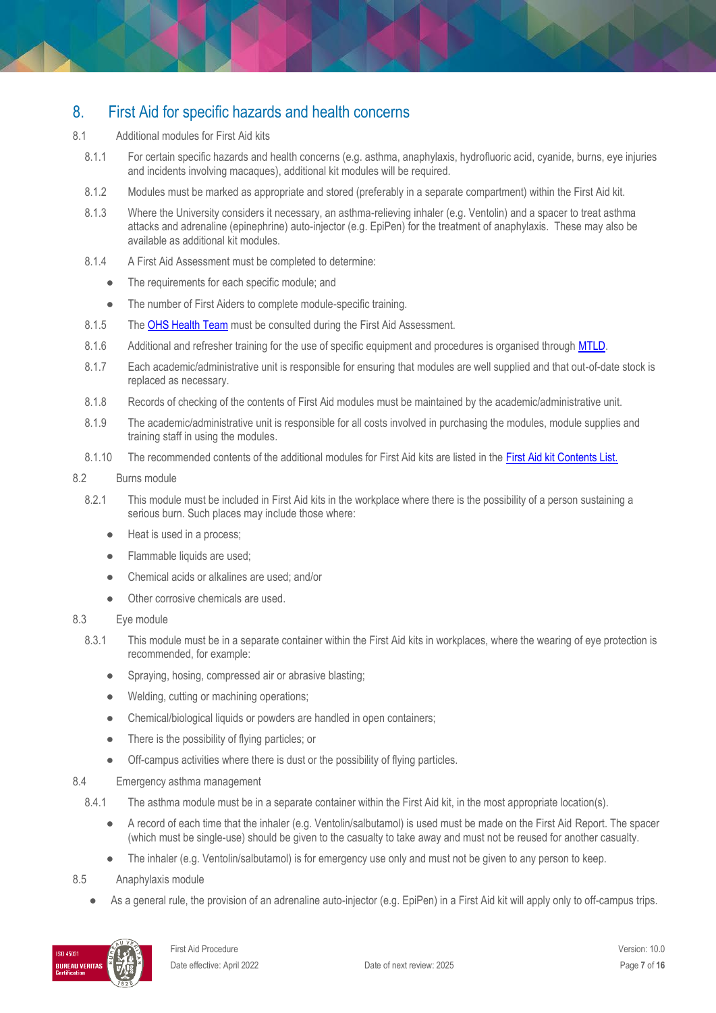# 8. First Aid for specific hazards and health concerns

- 8.1 Additional modules for First Aid kits
	- 8.1.1 For certain specific hazards and health concerns (e.g. asthma, anaphylaxis, hydrofluoric acid, cyanide, burns, eye injuries and incidents involving macaques), additional kit modules will be required.
	- 8.1.2 Modules must be marked as appropriate and stored (preferably in a separate compartment) within the First Aid kit.
	- 8.1.3 Where the University considers it necessary, an asthma-relieving inhaler (e.g. Ventolin) and a spacer to treat asthma attacks and adrenaline (epinephrine) auto-injector (e.g. EpiPen) for the treatment of anaphylaxis. These may also be available as additional kit modules.
	- 8.1.4 A First Aid Assessment must be completed to determine:
		- The requirements for each specific module; and
		- The number of First Aiders to complete module-specific training.
	- 8.1.5 The [OHS Health Team](https://www.monash.edu/ohs/AboutUs/health-wellbeing) must be consulted during the First Aid Assessment.
	- 8.1.6 Additional and refresher training for the use of specific equipment and procedures is organised through MTLD.
	- 8.1.7 Each academic/administrative unit is responsible for ensuring that modules are well supplied and that out-of-date stock is replaced as necessary.
	- 8.1.8 Records of checking of the contents of First Aid modules must be maintained by the academic/administrative unit.
	- 8.1.9 The academic/administrative unit is responsible for all costs involved in purchasing the modules, module supplies and training staff in using the modules.
	- 8.1.10 The recommended contents of the additional modules for First Aid kits are listed in the [First Aid kit Contents List.](http://www.monash.edu/__data/assets/pdf_file/0007/113776/firstaid-kit-contents.pdf)

#### 8.2 Burns module

- 8.2.1 This module must be included in First Aid kits in the workplace where there is the possibility of a person sustaining a serious burn. Such places may include those where:
	- Heat is used in a process;
	- Flammable liquids are used;
	- Chemical acids or alkalines are used: and/or
	- Other corrosive chemicals are used.

#### 8.3 Eye module

- 8.3.1 This module must be in a separate container within the First Aid kits in workplaces, where the wearing of eye protection is recommended, for example:
	- Spraying, hosing, compressed air or abrasive blasting;
	- Welding, cutting or machining operations;
	- Chemical/biological liquids or powders are handled in open containers;
	- There is the possibility of flying particles; or
	- Off-campus activities where there is dust or the possibility of flying particles.

#### 8.4 Emergency asthma management

- 8.4.1 The asthma module must be in a separate container within the First Aid kit, in the most appropriate location(s).
	- A record of each time that the inhaler (e.g. Ventolin/salbutamol) is used must be made on the First Aid Report. The spacer (which must be single-use) should be given to the casualty to take away and must not be reused for another casualty.
	- The inhaler (e.g. Ventolin/salbutamol) is for emergency use only and must not be given to any person to keep.
- 8.5 Anaphylaxis module
	- As a general rule, the provision of an adrenaline auto-injector (e.g. EpiPen) in a First Aid kit will apply only to off-campus trips.

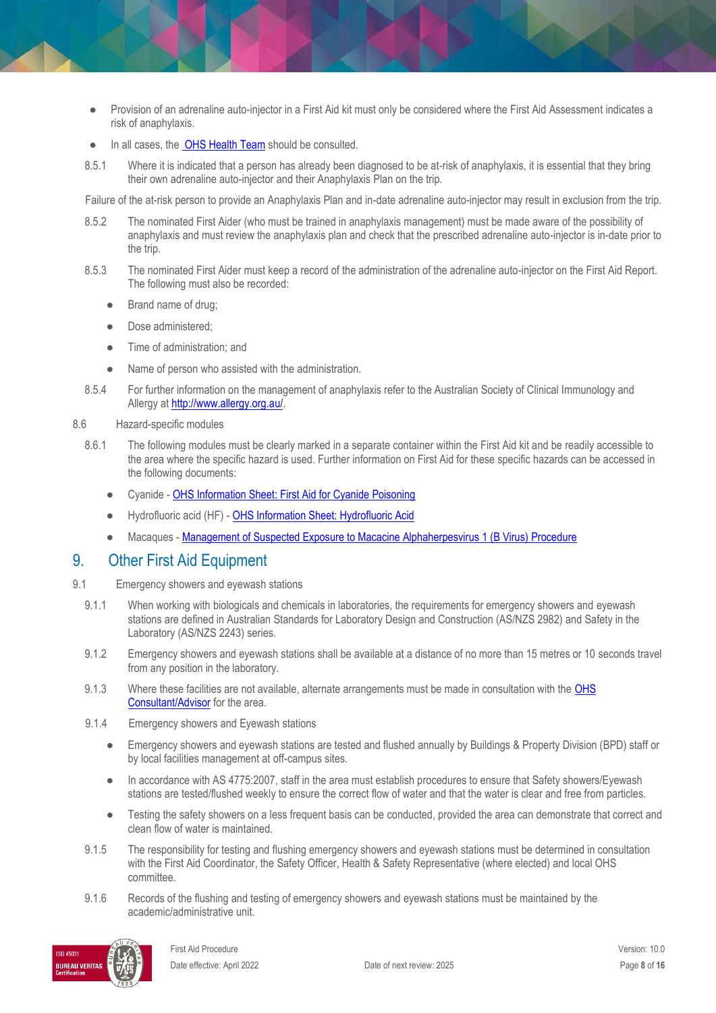- Provision of an adrenaline auto-injector in a First Aid kit must only be considered where the First Aid Assessment indicates a risk of anaphylaxis.
- In all cases, th[e OHS Health Team](https://www.monash.edu/ohs/AboutUs/health-wellbeing) should be consulted.
- 8.5.1 Where it is indicated that a person has already been diagnosed to be at-risk of anaphylaxis, it is essential that they bring their own adrenaline auto-injector and their Anaphylaxis Plan on the trip.

Failure of the at-risk person to provide an Anaphylaxis Plan and in-date adrenaline auto-injector may result in exclusion from the trip.

- 8.5.2 The nominated First Aider (who must be trained in anaphylaxis management) must be made aware of the possibility of anaphylaxis and must review the anaphylaxis plan and check that the prescribed adrenaline auto-injector is in-date prior to the trip.
- 8.5.3 The nominated First Aider must keep a record of the administration of the adrenaline auto-injector on the First Aid Report. The following must also be recorded:
	- Brand name of drug;
	- Dose administered;
	- Time of administration; and
	- Name of person who assisted with the administration.
- 8.5.4 For further information on the management of anaphylaxis refer to the Australian Society of Clinical Immunology and Allergy at [http://www.allergy.org.au/.](http://www.allergy.org.au/)

#### 8.6 Hazard-specific modules

- 8.6.1 The following modules must be clearly marked in a separate container within the First Aid kit and be readily accessible to the area where the specific hazard is used. Further information on First Aid for these specific hazards can be accessed in the following documents:
	- Cyanide [OHS Information Sheet: First Aid for Cyanide Poisoning](https://www.monash.edu/ohs/info-docs/safety-topics/chemical-management/first-aid-for-cyanide-poisoning)
	- Hydrofluoric acid (HF) [OHS Information Sheet: Hydrofluoric Acid](https://www.monash.edu/ohs/info-docs/safety-topics/chemical-management/hydrofluoric-acid)
	- Macaques [Management of Suspected Exposure to Macacine Alphaherpesvirus 1 \(B Virus\) Procedure](https://publicpolicydms.monash.edu/Monash/documents/1935620)

### 9. Other First Aid Equipment

- 9.1 Emergency showers and eyewash stations
	- 9.1.1 When working with biologicals and chemicals in laboratories, the requirements for emergency showers and eyewash stations are defined in Australian Standards for Laboratory Design and Construction (AS/NZS 2982) and Safety in the Laboratory (AS/NZS 2243) series.
	- 9.1.2 Emergency showers and eyewash stations shall be available at a distance of no more than 15 metres or 10 seconds travel from any position in the laboratory.
	- 9.1.3 Where these facilities are not available, alternate arrangements must be made in consultation with the OHS [Consultant/Advisor](http://www.monash.edu.au/ohs/AboutUs) for the area.
	- 9.1.4 Emergency showers and Eyewash stations
		- Emergency showers and eyewash stations are tested and flushed annually by Buildings & Property Division (BPD) staff or by local facilities management at off-campus sites.
		- In accordance with AS 4775:2007, staff in the area must establish procedures to ensure that Safety showers/Eyewash stations are tested/flushed weekly to ensure the correct flow of water and that the water is clear and free from particles.
		- Testing the safety showers on a less frequent basis can be conducted, provided the area can demonstrate that correct and clean flow of water is maintained.
	- 9.1.5 The responsibility for testing and flushing emergency showers and eyewash stations must be determined in consultation with the First Aid Coordinator, the Safety Officer, Health & Safety Representative (where elected) and local OHS committee.
	- 9.1.6 Records of the flushing and testing of emergency showers and eyewash stations must be maintained by the academic/administrative unit.

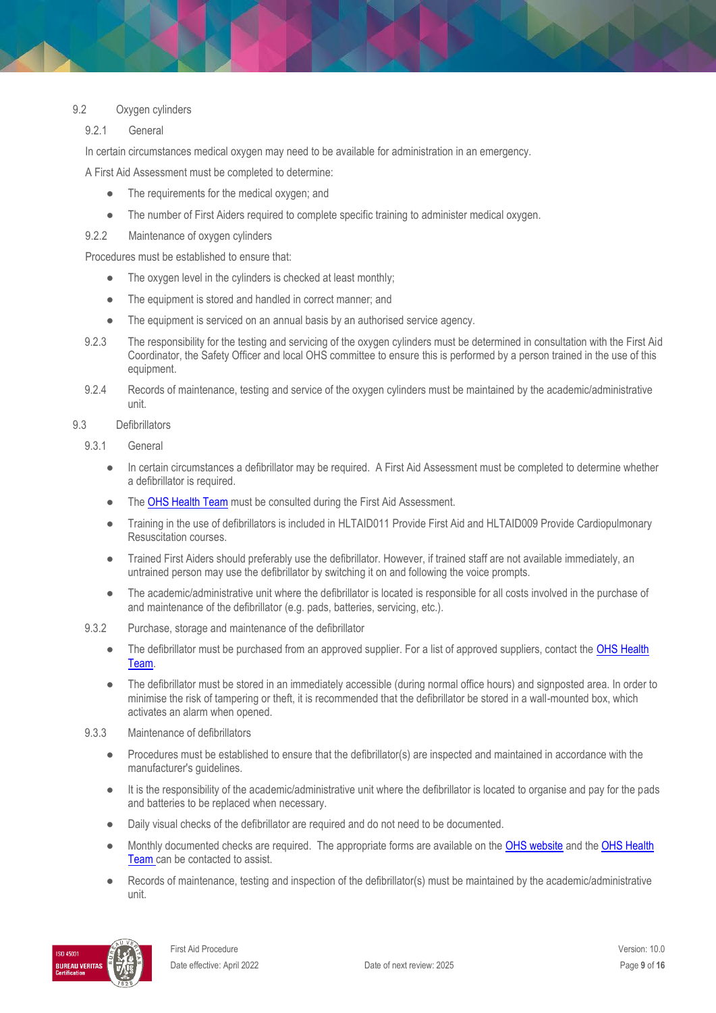### 9.2 Oxygen cylinders

### 9.2.1 General

In certain circumstances medical oxygen may need to be available for administration in an emergency.

A First Aid Assessment must be completed to determine:

- The requirements for the medical oxygen; and
- The number of First Aiders required to complete specific training to administer medical oxygen.
- 9.2.2 Maintenance of oxygen cylinders

Procedures must be established to ensure that:

- The oxygen level in the cylinders is checked at least monthly;
- The equipment is stored and handled in correct manner; and
- The equipment is serviced on an annual basis by an authorised service agency.
- 9.2.3 The responsibility for the testing and servicing of the oxygen cylinders must be determined in consultation with the First Aid Coordinator, the Safety Officer and local OHS committee to ensure this is performed by a person trained in the use of this equipment.
- 9.2.4 Records of maintenance, testing and service of the oxygen cylinders must be maintained by the academic/administrative unit.

#### 9.3 Defibrillators

- 9.3.1 General
	- In certain circumstances a defibrillator may be required. A First Aid Assessment must be completed to determine whether a defibrillator is required.
	- The [OHS Health Team](http://www.monash.edu.au/ohs/AboutUs) must be consulted during the First Aid Assessment.
	- Training in the use of defibrillators is included in HLTAID011 Provide First Aid and HLTAID009 Provide Cardiopulmonary Resuscitation courses.
	- Trained First Aiders should preferably use the defibrillator. However, if trained staff are not available immediately, an untrained person may use the defibrillator by switching it on and following the voice prompts.
	- The academic/administrative unit where the defibrillator is located is responsible for all costs involved in the purchase of and maintenance of the defibrillator (e.g. pads, batteries, servicing, etc.).
- 9.3.2 Purchase, storage and maintenance of the defibrillator
	- The defibrillator must be purchased from an approved supplier. For a list of approved suppliers, contact the OHS Health [Team.](http://www.monash.edu.au/ohs/AboutUs)
	- The defibrillator must be stored in an immediately accessible (during normal office hours) and signposted area. In order to minimise the risk of tampering or theft, it is recommended that the defibrillator be stored in a wall-mounted box, which activates an alarm when opened.
- 9.3.3 Maintenance of defibrillators
	- Procedures must be established to ensure that the defibrillator(s) are inspected and maintained in accordance with the manufacturer's guidelines.
	- It is the responsibility of the academic/administrative unit where the defibrillator is located to organise and pay for the pads and batteries to be replaced when necessary.
	- Daily visual checks of the defibrillator are required and do not need to be documented.
	- Monthly documented checks are required. The appropriate forms are available on the [OHS website](https://www.monash.edu/ohs/info-docs#D) and the OHS Health [Team](http://www.monash.edu.au/ohs/AboutUs) can be contacted to assist.
	- Records of maintenance, testing and inspection of the defibrillator(s) must be maintained by the academic/administrative unit.

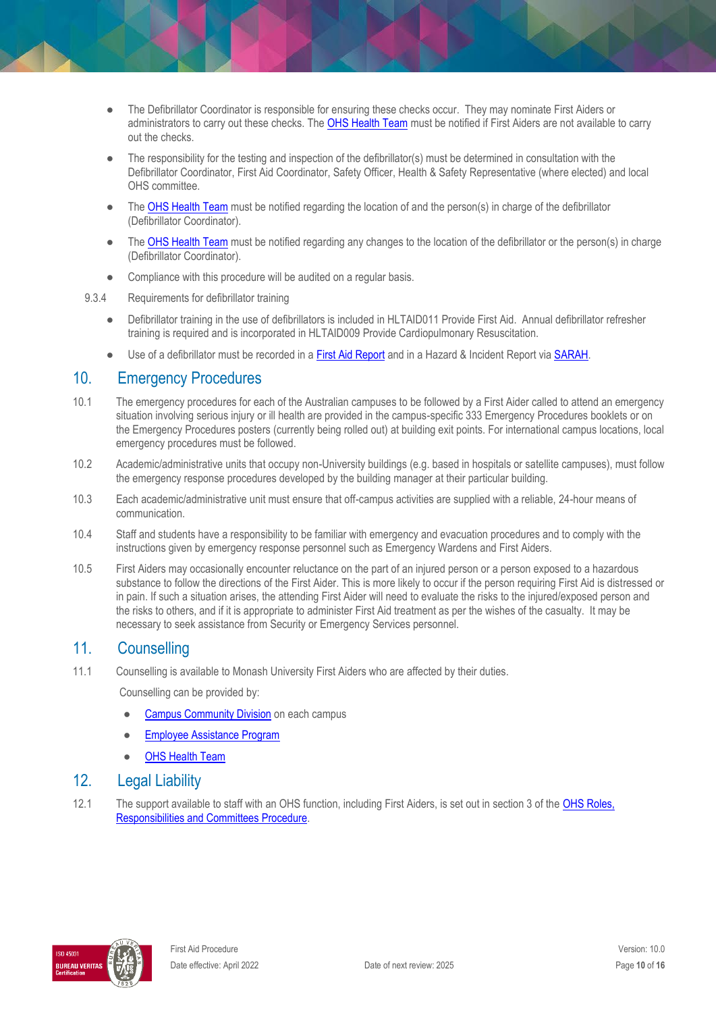- The Defibrillator Coordinator is responsible for ensuring these checks occur. They may nominate First Aiders or administrators to carry out these checks. The [OHS Health Team](mailto:%20BPD-OHNC@monash.edu) must be notified if First Aiders are not available to carry out the checks.
- The responsibility for the testing and inspection of the defibrillator(s) must be determined in consultation with the Defibrillator Coordinator, First Aid Coordinator, Safety Officer, Health & Safety Representative (where elected) and local OHS committee.
- The [OHS Health Team](mailto:%20BPD-OHNC@monash.edu) must be notified regarding the location of and the person(s) in charge of the defibrillator (Defibrillator Coordinator).
- The [OHS Health Team](mailto:%20BPD-OHNC@monash.edu) must be notified regarding any changes to the location of the defibrillator or the person(s) in charge (Defibrillator Coordinator).
- Compliance with this procedure will be audited on a regular basis.
- 9.3.4 Requirements for defibrillator training
	- Defibrillator training in the use of defibrillators is included in HLTAID011 Provide First Aid. Annual defibrillator refresher training is required and is incorporated in HLTAID009 Provide Cardiopulmonary Resuscitation.
	- Use of a defibrillator must be recorded in a [First Aid Report](https://www.monash.edu/__data/assets/pdf_file/0004/188644/First-Aid-Report-Form.pdf) and in a Hazard & Incident Report via [SARAH.](https://prod.riskcloud.net/default.aspx)

### 10. Emergency Procedures

- 10.1 The emergency procedures for each of the Australian campuses to be followed by a First Aider called to attend an emergency situation involving serious injury or ill health are provided in the campus-specific 333 Emergency Procedures booklets or on the Emergency Procedures posters (currently being rolled out) at building exit points. For international campus locations, local emergency procedures must be followed.
- 10.2 Academic/administrative units that occupy non-University buildings (e.g. based in hospitals or satellite campuses), must follow the emergency response procedures developed by the building manager at their particular building.
- 10.3 Each academic/administrative unit must ensure that off-campus activities are supplied with a reliable, 24-hour means of communication.
- 10.4 Staff and students have a responsibility to be familiar with emergency and evacuation procedures and to comply with the instructions given by emergency response personnel such as Emergency Wardens and First Aiders.
- 10.5 First Aiders may occasionally encounter reluctance on the part of an injured person or a person exposed to a hazardous substance to follow the directions of the First Aider. This is more likely to occur if the person requiring First Aid is distressed or in pain. If such a situation arises, the attending First Aider will need to evaluate the risks to the injured/exposed person and the risks to others, and if it is appropriate to administer First Aid treatment as per the wishes of the casualty. It may be necessary to seek assistance from Security or Emergency Services personnel.

## 11. Counselling

11.1 Counselling is available to Monash University First Aiders who are affected by their duties.

Counselling can be provided by:

- [Campus Community Division](https://www.monash.edu/health/counselling) on each campus
- **[Employee Assistance Program](http://www.adm.monash.edu.au/workplace-policy/staff-wellbeing/employee-assistance/)**
- **[OHS Health Team](http://www.monash.edu.au/ohs/AboutUs)**

## 12. Legal Liability

12.1 The support available to staff with an OHS function, including First Aiders, is set out in section 3 of the [OHS Roles,](https://publicpolicydms.monash.edu/Monash/documents/1935644)  [Responsibilities and Committees Procedure.](https://publicpolicydms.monash.edu/Monash/documents/1935644) 

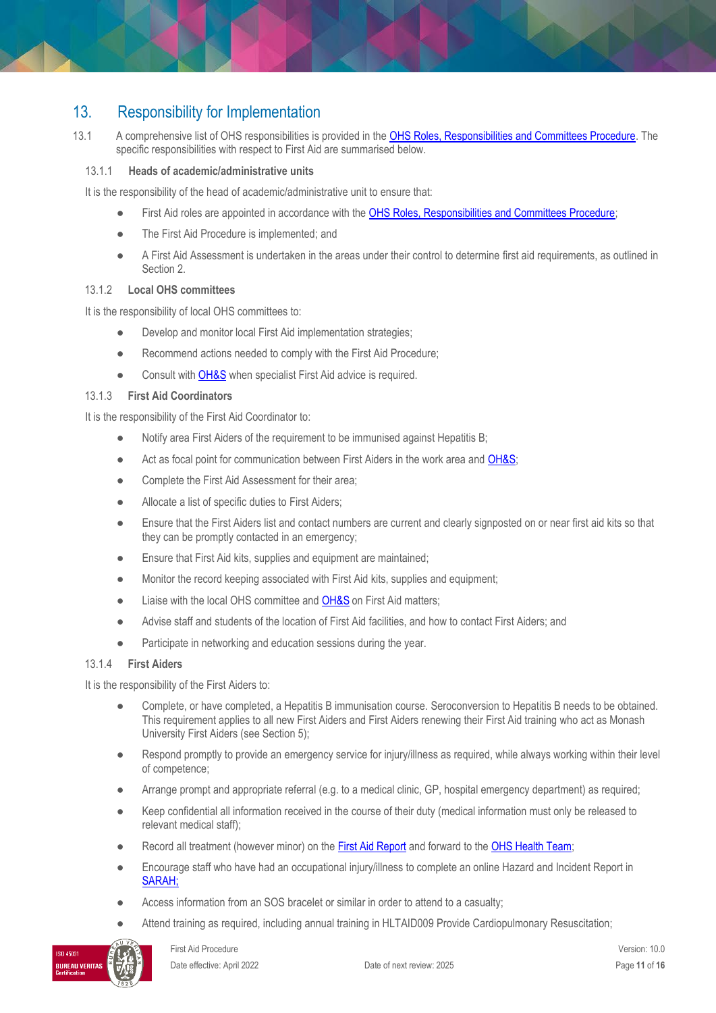# 13. Responsibility for Implementation

13.1 A comprehensive list of OHS responsibilities is provided in the [OHS Roles, Responsibilities and Committees Procedure.](https://publicpolicydms.monash.edu/Monash/documents/1935644) The specific responsibilities with respect to First Aid are summarised below.

### 13.1.1 **Heads of academic/administrative units**

It is the responsibility of the head of academic/administrative unit to ensure that:

- First Aid roles are appointed in accordance with the [OHS Roles, Responsibilities and Committees Procedure;](https://publicpolicydms.monash.edu/Monash/documents/1935644)
- The First Aid Procedure is implemented; and
- A First Aid Assessment is undertaken in the areas under their control to determine first aid requirements, as outlined in Section 2.

### 13.1.2 **Local OHS committees**

It is the responsibility of local OHS committees to:

- Develop and monitor local First Aid implementation strategies;
- Recommend actions needed to comply with the First Aid Procedure;
- Consult with **OH&S** when specialist First Aid advice is required.

### 13.1.3 **First Aid Coordinators**

It is the responsibility of the First Aid Coordinator to:

- Notify area First Aiders of the requirement to be immunised against Hepatitis B;
- Act as focal point for communication between First Aiders in the work area and [OH&S;](http://www.monash.edu.au/ohs/AboutUs)
- Complete the First Aid Assessment for their area;
- Allocate a list of specific duties to First Aiders;
- Ensure that the First Aiders list and contact numbers are current and clearly signposted on or near first aid kits so that they can be promptly contacted in an emergency;
- Ensure that First Aid kits, supplies and equipment are maintained;
- Monitor the record keeping associated with First Aid kits, supplies and equipment;
- Liaise with the local OHS committee an[d OH&S](https://www.monash.edu/ohs/AboutUs) on First Aid matters;
- Advise staff and students of the location of First Aid facilities, and how to contact First Aiders; and
- Participate in networking and education sessions during the year.

### 13.1.4 **First Aiders**

It is the responsibility of the First Aiders to:

- Complete, or have completed, a Hepatitis B immunisation course. Seroconversion to Hepatitis B needs to be obtained. This requirement applies to all new First Aiders and First Aiders renewing their First Aid training who act as Monash University First Aiders (see Section 5);
- Respond promptly to provide an emergency service for injury/illness as required, while always working within their level of competence;
- Arrange prompt and appropriate referral (e.g. to a medical clinic, GP, hospital emergency department) as required;
- Keep confidential all information received in the course of their duty (medical information must only be released to relevant medical staff);
- Record all treatment (however minor) on the **First Aid Report** and forward to the **OHS Health Team**;
- Encourage staff who have had an occupational injury/illness to complete an online Hazard and Incident Report in [SARAH;](https://prod.riskcloud.net/?ccode=monash)
- Access information from an SOS bracelet or similar in order to attend to a casualty;
- Attend training as required, including annual training in HLTAID009 Provide Cardiopulmonary Resuscitation;

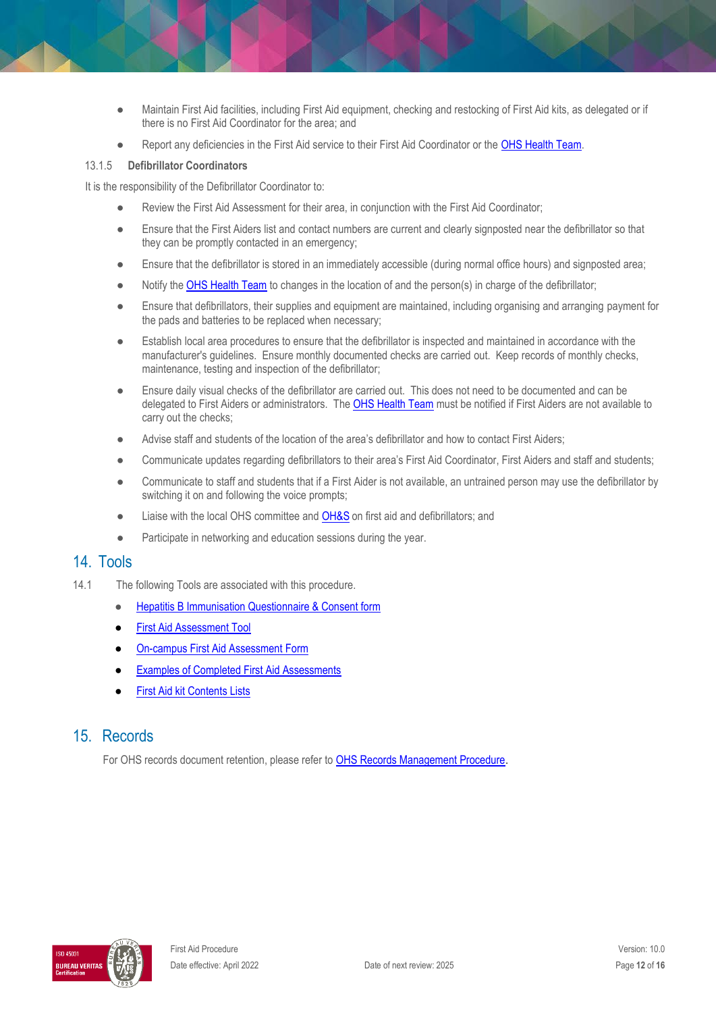- Maintain First Aid facilities, including First Aid equipment, checking and restocking of First Aid kits, as delegated or if there is no First Aid Coordinator for the area; and
- Report any deficiencies in the First Aid service to their First Aid Coordinator or the [OHS Health Team.](http://www.monash.edu.au/ohs/AboutUs)

#### 13.1.5 **Defibrillator Coordinators**

It is the responsibility of the Defibrillator Coordinator to:

- Review the First Aid Assessment for their area, in conjunction with the First Aid Coordinator;
- Ensure that the First Aiders list and contact numbers are current and clearly signposted near the defibrillator so that they can be promptly contacted in an emergency;
- Ensure that the defibrillator is stored in an immediately accessible (during normal office hours) and signposted area;
- Notify the [OHS Health Team](mailto:%20BPD-OHNC@monash.edu) to changes in the location of and the person(s) in charge of the defibrillator;
- Ensure that defibrillators, their supplies and equipment are maintained, including organising and arranging payment for the pads and batteries to be replaced when necessary;
- Establish local area procedures to ensure that the defibrillator is inspected and maintained in accordance with the manufacturer's guidelines. Ensure monthly documented checks are carried out. Keep records of monthly checks, maintenance, testing and inspection of the defibrillator;
- Ensure daily visual checks of the defibrillator are carried out. This does not need to be documented and can be delegated to First Aiders or administrators. Th[e OHS Health Team](mailto:%20BPD-OHNC@monash.edu) must be notified if First Aiders are not available to carry out the checks;
- Advise staff and students of the location of the area's defibrillator and how to contact First Aiders;
- Communicate updates regarding defibrillators to their area's First Aid Coordinator, First Aiders and staff and students;
- Communicate to staff and students that if a First Aider is not available, an untrained person may use the defibrillator by switching it on and following the voice prompts;
- Liaise with the local OHS committee and **OH&S** on first aid and defibrillators; and
- Participate in networking and education sessions during the year.

### 14. Tools

- 14.1 The following Tools are associated with this procedure.
	- **[Hepatitis B Immunisation Questionnaire & Consent form](https://www.monash.edu/__data/assets/pdf_file/0011/181478/Consent-Hep-B-First-Aiders.pdf)**
	- **[First Aid Assessment Tool](https://www.monash.edu/__data/assets/pdf_file/0006/113775/firstaid-assess-tool.pdf)**
	- **[On-campus First Aid Assessment Form](https://www.monash.edu/__data/assets/word_doc/0003/113781/First-aid-assessment-on-campus-form.docx)**
	- **[Examples of Completed First Aid Assessments](https://www.monash.edu/__data/assets/pdf_file/0005/113774/firstaid-assess-examples.pdf)**
	- **[First Aid kit Contents Lists](https://www.monash.edu/__data/assets/pdf_file/0007/113776/firstaid-kit-contents.pdf)**

## 15. Records

For OHS records document retention, please refer t[o OHS Records Management Procedure.](https://publicpolicydms.monash.edu/Monash/documents/1935642)

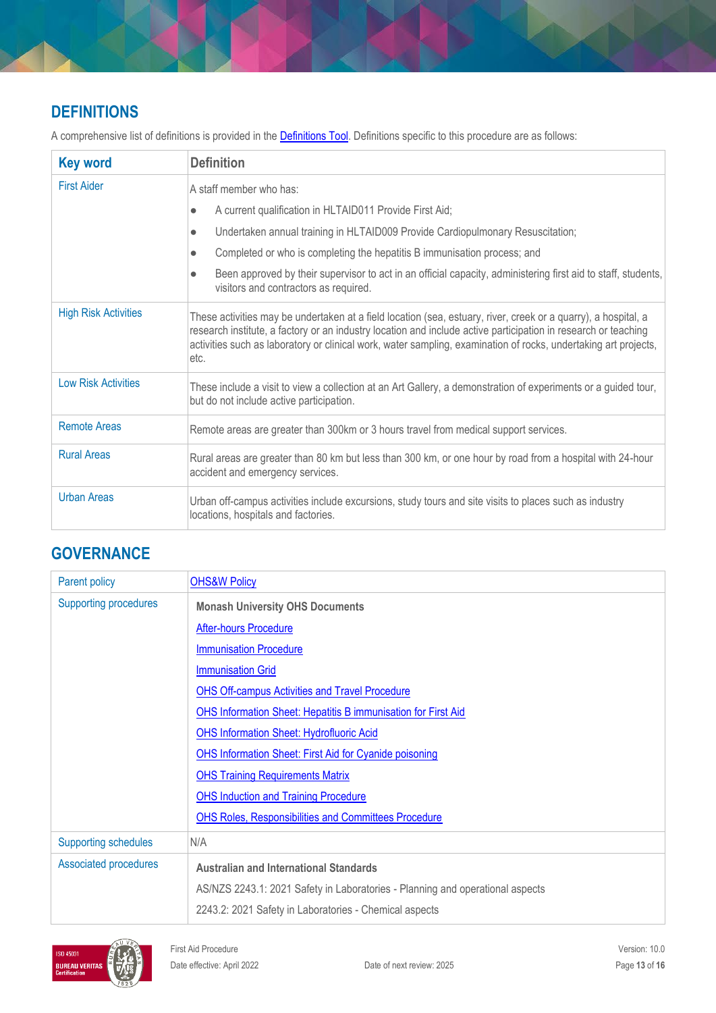# **DEFINITIONS**

A comprehensive list of definitions is provided in the **Definitions Tool**. Definitions specific to this procedure are as follows:

| <b>Key word</b>             | <b>Definition</b>                                                                                                                                                                                                                                                                                                                                           |  |
|-----------------------------|-------------------------------------------------------------------------------------------------------------------------------------------------------------------------------------------------------------------------------------------------------------------------------------------------------------------------------------------------------------|--|
| <b>First Aider</b>          | A staff member who has:                                                                                                                                                                                                                                                                                                                                     |  |
|                             | A current qualification in HLTAID011 Provide First Aid;<br>$\bullet$                                                                                                                                                                                                                                                                                        |  |
|                             | Undertaken annual training in HLTAID009 Provide Cardiopulmonary Resuscitation;<br>$\bullet$                                                                                                                                                                                                                                                                 |  |
|                             | Completed or who is completing the hepatitis B immunisation process; and<br>$\bullet$                                                                                                                                                                                                                                                                       |  |
|                             | Been approved by their supervisor to act in an official capacity, administering first aid to staff, students,<br>$\bullet$<br>visitors and contractors as required.                                                                                                                                                                                         |  |
| <b>High Risk Activities</b> | These activities may be undertaken at a field location (sea, estuary, river, creek or a quarry), a hospital, a<br>research institute, a factory or an industry location and include active participation in research or teaching<br>activities such as laboratory or clinical work, water sampling, examination of rocks, undertaking art projects,<br>etc. |  |
| <b>Low Risk Activities</b>  | These include a visit to view a collection at an Art Gallery, a demonstration of experiments or a guided tour,<br>but do not include active participation.                                                                                                                                                                                                  |  |
| <b>Remote Areas</b>         | Remote areas are greater than 300km or 3 hours travel from medical support services.                                                                                                                                                                                                                                                                        |  |
| <b>Rural Areas</b>          | Rural areas are greater than 80 km but less than 300 km, or one hour by road from a hospital with 24-hour<br>accident and emergency services.                                                                                                                                                                                                               |  |
| <b>Urban Areas</b>          | Urban off-campus activities include excursions, study tours and site visits to places such as industry<br>locations, hospitals and factories.                                                                                                                                                                                                               |  |

# **GOVERNANCE**

| Parent policy                                                 | <b>OHS&amp;W Policy</b>                                                       |  |
|---------------------------------------------------------------|-------------------------------------------------------------------------------|--|
| <b>Supporting procedures</b>                                  | <b>Monash University OHS Documents</b>                                        |  |
|                                                               | <b>After-hours Procedure</b>                                                  |  |
|                                                               | <b>Immunisation Procedure</b>                                                 |  |
|                                                               | <b>Immunisation Grid</b>                                                      |  |
|                                                               | <b>OHS Off-campus Activities and Travel Procedure</b>                         |  |
|                                                               | <b>OHS Information Sheet: Hepatitis B immunisation for First Aid</b>          |  |
| <b>OHS Information Sheet: Hydrofluoric Acid</b>               |                                                                               |  |
| <b>OHS Information Sheet: First Aid for Cyanide poisoning</b> |                                                                               |  |
|                                                               | <b>OHS Training Requirements Matrix</b>                                       |  |
|                                                               | <b>OHS Induction and Training Procedure</b>                                   |  |
|                                                               | <b>OHS Roles, Responsibilities and Committees Procedure</b>                   |  |
| <b>Supporting schedules</b>                                   | N/A                                                                           |  |
| <b>Associated procedures</b>                                  | <b>Australian and International Standards</b>                                 |  |
|                                                               | AS/NZS 2243.1: 2021 Safety in Laboratories - Planning and operational aspects |  |
|                                                               | 2243.2: 2021 Safety in Laboratories - Chemical aspects                        |  |

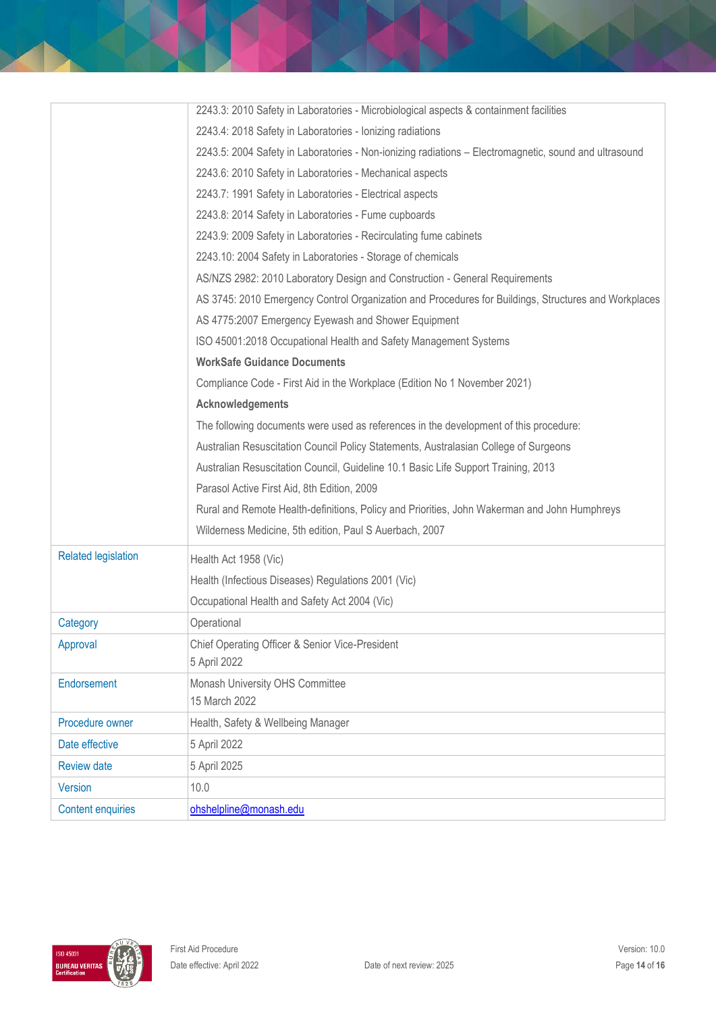|                            | 2243.3: 2010 Safety in Laboratories - Microbiological aspects & containment facilities                |  |
|----------------------------|-------------------------------------------------------------------------------------------------------|--|
|                            | 2243.4: 2018 Safety in Laboratories - Ionizing radiations                                             |  |
|                            | 2243.5: 2004 Safety in Laboratories - Non-ionizing radiations - Electromagnetic, sound and ultrasound |  |
|                            | 2243.6: 2010 Safety in Laboratories - Mechanical aspects                                              |  |
|                            | 2243.7: 1991 Safety in Laboratories - Electrical aspects                                              |  |
|                            | 2243.8: 2014 Safety in Laboratories - Fume cupboards                                                  |  |
|                            | 2243.9: 2009 Safety in Laboratories - Recirculating fume cabinets                                     |  |
|                            | 2243.10: 2004 Safety in Laboratories - Storage of chemicals                                           |  |
|                            | AS/NZS 2982: 2010 Laboratory Design and Construction - General Requirements                           |  |
|                            | AS 3745: 2010 Emergency Control Organization and Procedures for Buildings, Structures and Workplaces  |  |
|                            | AS 4775:2007 Emergency Eyewash and Shower Equipment                                                   |  |
|                            | ISO 45001:2018 Occupational Health and Safety Management Systems                                      |  |
|                            | <b>WorkSafe Guidance Documents</b>                                                                    |  |
|                            | Compliance Code - First Aid in the Workplace (Edition No 1 November 2021)                             |  |
|                            | <b>Acknowledgements</b>                                                                               |  |
|                            | The following documents were used as references in the development of this procedure:                 |  |
|                            | Australian Resuscitation Council Policy Statements, Australasian College of Surgeons                  |  |
|                            | Australian Resuscitation Council, Guideline 10.1 Basic Life Support Training, 2013                    |  |
|                            | Parasol Active First Aid, 8th Edition, 2009                                                           |  |
|                            | Rural and Remote Health-definitions, Policy and Priorities, John Wakerman and John Humphreys          |  |
|                            | Wilderness Medicine, 5th edition, Paul S Auerbach, 2007                                               |  |
| <b>Related legislation</b> | Health Act 1958 (Vic)                                                                                 |  |
|                            | Health (Infectious Diseases) Regulations 2001 (Vic)                                                   |  |
|                            | Occupational Health and Safety Act 2004 (Vic)                                                         |  |
| Category                   | Operational                                                                                           |  |
| Approval                   | Chief Operating Officer & Senior Vice-President                                                       |  |
|                            | 5 April 2022                                                                                          |  |
| Endorsement                | Monash University OHS Committee                                                                       |  |
|                            | 15 March 2022                                                                                         |  |
| Procedure owner            | Health, Safety & Wellbeing Manager                                                                    |  |
| Date effective             | 5 April 2022                                                                                          |  |
| <b>Review date</b>         | 5 April 2025                                                                                          |  |
| <b>Version</b>             | 10.0                                                                                                  |  |
| <b>Content enquiries</b>   | ohshelpline@monash.edu                                                                                |  |

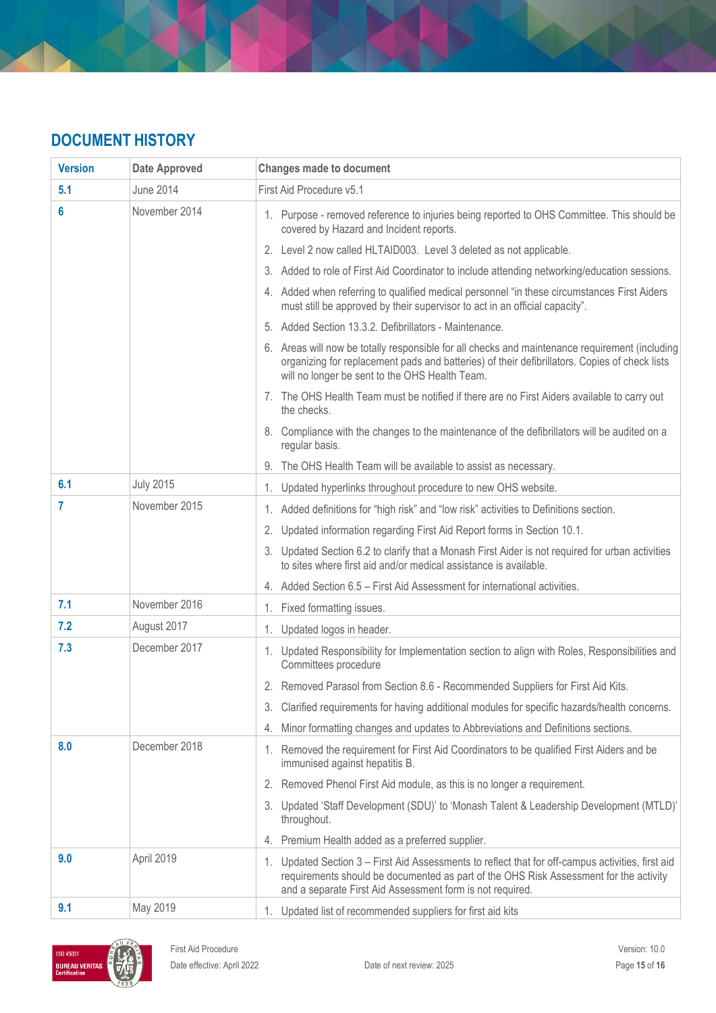# **DOCUMENT HISTORY**

| <b>Version</b> | <b>Date Approved</b> | <b>Changes made to document</b>                                                                                                                                                                                                                         |
|----------------|----------------------|---------------------------------------------------------------------------------------------------------------------------------------------------------------------------------------------------------------------------------------------------------|
| 5.1            | <b>June 2014</b>     | First Aid Procedure v5.1                                                                                                                                                                                                                                |
| 6              | November 2014        | 1. Purpose - removed reference to injuries being reported to OHS Committee. This should be<br>covered by Hazard and Incident reports.                                                                                                                   |
|                |                      | 2. Level 2 now called HLTAID003. Level 3 deleted as not applicable.                                                                                                                                                                                     |
|                |                      | 3. Added to role of First Aid Coordinator to include attending networking/education sessions.                                                                                                                                                           |
|                |                      | 4. Added when referring to qualified medical personnel "in these circumstances First Aiders<br>must still be approved by their supervisor to act in an official capacity".                                                                              |
|                |                      | 5. Added Section 13.3.2. Defibrillators - Maintenance.                                                                                                                                                                                                  |
|                |                      | 6. Areas will now be totally responsible for all checks and maintenance requirement (including<br>organizing for replacement pads and batteries) of their defibrillators. Copies of check lists<br>will no longer be sent to the OHS Health Team.       |
|                |                      | 7. The OHS Health Team must be notified if there are no First Aiders available to carry out<br>the checks.                                                                                                                                              |
|                |                      | 8. Compliance with the changes to the maintenance of the defibrillators will be audited on a<br>regular basis.                                                                                                                                          |
|                |                      | 9. The OHS Health Team will be available to assist as necessary.                                                                                                                                                                                        |
| 6.1            | <b>July 2015</b>     | 1. Updated hyperlinks throughout procedure to new OHS website.                                                                                                                                                                                          |
| 7              | November 2015        | 1. Added definitions for "high risk" and "low risk" activities to Definitions section.                                                                                                                                                                  |
|                |                      | 2. Updated information regarding First Aid Report forms in Section 10.1.                                                                                                                                                                                |
|                |                      | 3. Updated Section 6.2 to clarify that a Monash First Aider is not required for urban activities<br>to sites where first aid and/or medical assistance is available.                                                                                    |
|                |                      | 4. Added Section 6.5 – First Aid Assessment for international activities.                                                                                                                                                                               |
| 7.1            | November 2016        | 1. Fixed formatting issues.                                                                                                                                                                                                                             |
| 7.2            | August 2017          | 1. Updated logos in header.                                                                                                                                                                                                                             |
| 7.3            | December 2017        | 1. Updated Responsibility for Implementation section to align with Roles, Responsibilities and<br>Committees procedure                                                                                                                                  |
|                |                      | 2. Removed Parasol from Section 8.6 - Recommended Suppliers for First Aid Kits.                                                                                                                                                                         |
|                |                      | 3. Clarified requirements for having additional modules for specific hazards/health concerns.                                                                                                                                                           |
|                |                      | Minor formatting changes and updates to Abbreviations and Definitions sections.<br>4.                                                                                                                                                                   |
| 8.0            | December 2018        | 1. Removed the requirement for First Aid Coordinators to be qualified First Aiders and be<br>immunised against hepatitis B.                                                                                                                             |
|                |                      | 2. Removed Phenol First Aid module, as this is no longer a requirement.                                                                                                                                                                                 |
|                |                      | 3. Updated 'Staff Development (SDU)' to 'Monash Talent & Leadership Development (MTLD)'<br>throughout.                                                                                                                                                  |
|                |                      | 4. Premium Health added as a preferred supplier.                                                                                                                                                                                                        |
| 9.0            | April 2019           | 1. Updated Section 3 - First Aid Assessments to reflect that for off-campus activities, first aid<br>requirements should be documented as part of the OHS Risk Assessment for the activity<br>and a separate First Aid Assessment form is not required. |
| 9.1            | May 2019             | 1. Updated list of recommended suppliers for first aid kits                                                                                                                                                                                             |